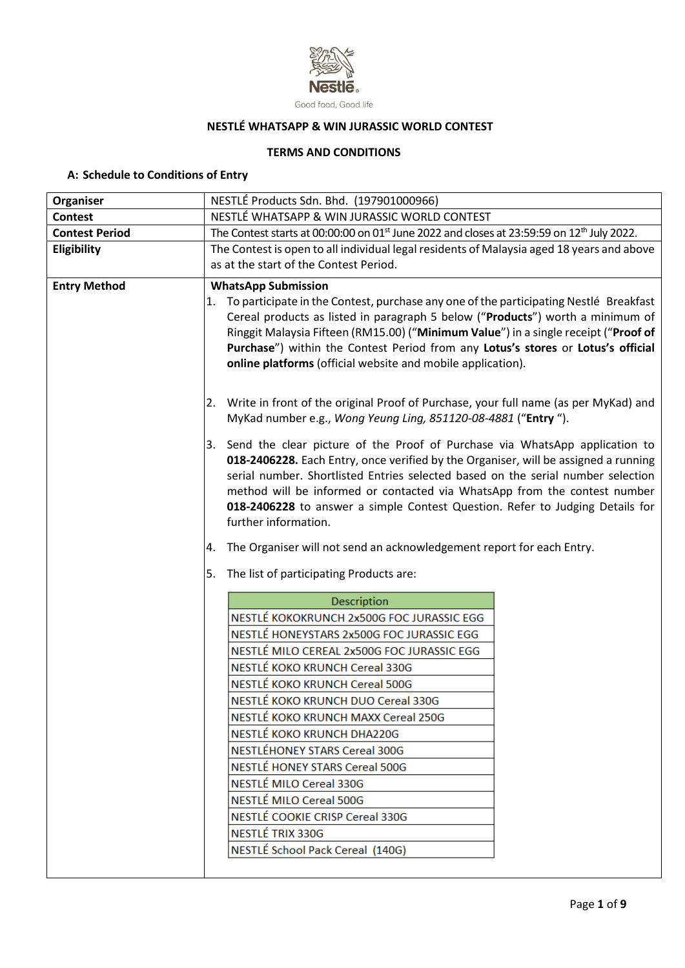

#### Good food, Good life

# **NESTLÉ WHATSAPP & WIN JURASSIC WORLD CONTEST**

# **TERMS AND CONDITIONS**

# **A: Schedule to Conditions of Entry**

| Organiser             | NESTLÉ Products Sdn. Bhd. (197901000966)                                                                                                                                                                                                                                                                                                                                                                                                        |  |  |  |
|-----------------------|-------------------------------------------------------------------------------------------------------------------------------------------------------------------------------------------------------------------------------------------------------------------------------------------------------------------------------------------------------------------------------------------------------------------------------------------------|--|--|--|
| <b>Contest</b>        | NESTLÉ WHATSAPP & WIN JURASSIC WORLD CONTEST                                                                                                                                                                                                                                                                                                                                                                                                    |  |  |  |
| <b>Contest Period</b> | The Contest starts at 00:00:00 on 01 <sup>st</sup> June 2022 and closes at 23:59:59 on 12 <sup>th</sup> July 2022.                                                                                                                                                                                                                                                                                                                              |  |  |  |
| Eligibility           | The Contest is open to all individual legal residents of Malaysia aged 18 years and above<br>as at the start of the Contest Period.                                                                                                                                                                                                                                                                                                             |  |  |  |
| <b>Entry Method</b>   | <b>WhatsApp Submission</b>                                                                                                                                                                                                                                                                                                                                                                                                                      |  |  |  |
|                       | To participate in the Contest, purchase any one of the participating Nestlé Breakfast<br>1.<br>Cereal products as listed in paragraph 5 below ("Products") worth a minimum of<br>Ringgit Malaysia Fifteen (RM15.00) ("Minimum Value") in a single receipt ("Proof of<br>Purchase") within the Contest Period from any Lotus's stores or Lotus's official<br>online platforms (official website and mobile application).                         |  |  |  |
|                       | 2. Write in front of the original Proof of Purchase, your full name (as per MyKad) and<br>MyKad number e.g., Wong Yeung Ling, 851120-08-4881 ("Entry ").                                                                                                                                                                                                                                                                                        |  |  |  |
|                       | 3. Send the clear picture of the Proof of Purchase via WhatsApp application to<br>018-2406228. Each Entry, once verified by the Organiser, will be assigned a running<br>serial number. Shortlisted Entries selected based on the serial number selection<br>method will be informed or contacted via WhatsApp from the contest number<br>018-2406228 to answer a simple Contest Question. Refer to Judging Details for<br>further information. |  |  |  |
|                       | The Organiser will not send an acknowledgement report for each Entry.<br>4.                                                                                                                                                                                                                                                                                                                                                                     |  |  |  |
|                       | The list of participating Products are:<br>5.                                                                                                                                                                                                                                                                                                                                                                                                   |  |  |  |
|                       | Description                                                                                                                                                                                                                                                                                                                                                                                                                                     |  |  |  |
|                       | NESTLÉ KOKOKRUNCH 2x500G FOC JURASSIC EGG                                                                                                                                                                                                                                                                                                                                                                                                       |  |  |  |
|                       | NESTLÉ HONEYSTARS 2x500G FOC JURASSIC EGG                                                                                                                                                                                                                                                                                                                                                                                                       |  |  |  |
|                       | NESTLÉ MILO CEREAL 2x500G FOC JURASSIC EGG                                                                                                                                                                                                                                                                                                                                                                                                      |  |  |  |
|                       | NESTLÉ KOKO KRUNCH Cereal 330G                                                                                                                                                                                                                                                                                                                                                                                                                  |  |  |  |
|                       | NESTLÉ KOKO KRUNCH Cereal 500G                                                                                                                                                                                                                                                                                                                                                                                                                  |  |  |  |
|                       | NESTLÉ KOKO KRUNCH DUO Cereal 330G                                                                                                                                                                                                                                                                                                                                                                                                              |  |  |  |
|                       | NESTLÉ KOKO KRUNCH MAXX Cereal 250G                                                                                                                                                                                                                                                                                                                                                                                                             |  |  |  |
|                       | NESTLÉ KOKO KRUNCH DHA220G                                                                                                                                                                                                                                                                                                                                                                                                                      |  |  |  |
|                       | NESTLÉHONEY STARS Cereal 300G                                                                                                                                                                                                                                                                                                                                                                                                                   |  |  |  |
|                       | NESTLÉ HONEY STARS Cereal 500G                                                                                                                                                                                                                                                                                                                                                                                                                  |  |  |  |
|                       | NESTLÉ MILO Cereal 330G                                                                                                                                                                                                                                                                                                                                                                                                                         |  |  |  |
|                       | NESTLÉ MILO Cereal 500G                                                                                                                                                                                                                                                                                                                                                                                                                         |  |  |  |
|                       | NESTLÉ COOKIE CRISP Cereal 330G                                                                                                                                                                                                                                                                                                                                                                                                                 |  |  |  |
|                       | NESTLÉ TRIX 330G                                                                                                                                                                                                                                                                                                                                                                                                                                |  |  |  |
|                       | NESTLÉ School Pack Cereal (140G)                                                                                                                                                                                                                                                                                                                                                                                                                |  |  |  |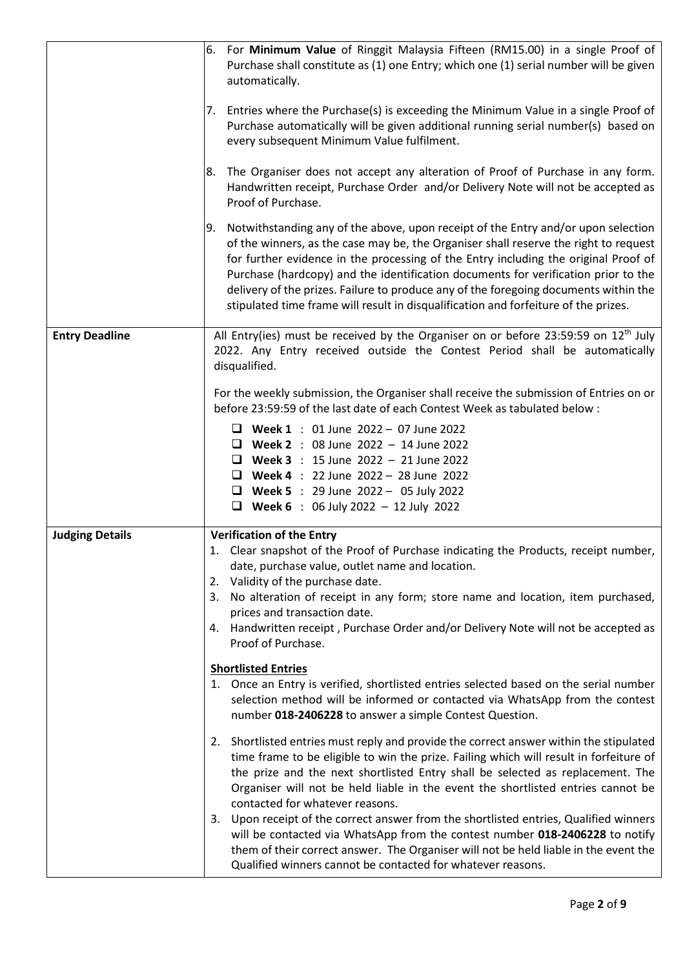|                        | For Minimum Value of Ringgit Malaysia Fifteen (RM15.00) in a single Proof of<br>6.<br>Purchase shall constitute as (1) one Entry; which one (1) serial number will be given<br>automatically.                                                                                                                                                                                                                                                                                                                                               |
|------------------------|---------------------------------------------------------------------------------------------------------------------------------------------------------------------------------------------------------------------------------------------------------------------------------------------------------------------------------------------------------------------------------------------------------------------------------------------------------------------------------------------------------------------------------------------|
|                        | Entries where the Purchase(s) is exceeding the Minimum Value in a single Proof of<br>7.<br>Purchase automatically will be given additional running serial number(s) based on<br>every subsequent Minimum Value fulfilment.                                                                                                                                                                                                                                                                                                                  |
|                        | The Organiser does not accept any alteration of Proof of Purchase in any form.<br>8.<br>Handwritten receipt, Purchase Order and/or Delivery Note will not be accepted as<br>Proof of Purchase.                                                                                                                                                                                                                                                                                                                                              |
|                        | Notwithstanding any of the above, upon receipt of the Entry and/or upon selection<br>9.<br>of the winners, as the case may be, the Organiser shall reserve the right to request<br>for further evidence in the processing of the Entry including the original Proof of<br>Purchase (hardcopy) and the identification documents for verification prior to the<br>delivery of the prizes. Failure to produce any of the foregoing documents within the<br>stipulated time frame will result in disqualification and forfeiture of the prizes. |
| <b>Entry Deadline</b>  | All Entry(ies) must be received by the Organiser on or before 23:59:59 on 12 <sup>th</sup> July<br>2022. Any Entry received outside the Contest Period shall be automatically<br>disqualified.                                                                                                                                                                                                                                                                                                                                              |
|                        | For the weekly submission, the Organiser shall receive the submission of Entries on or<br>before 23:59:59 of the last date of each Contest Week as tabulated below :                                                                                                                                                                                                                                                                                                                                                                        |
|                        | <b>U</b> Week 1 : 01 June 2022 - 07 June 2022<br><b>U</b> Week 2 : 08 June 2022 - 14 June 2022<br><b>U</b> Week 3 : 15 June 2022 - 21 June 2022<br><b>U</b> Week 4 : 22 June 2022 - 28 June 2022<br><b>U</b> Week 5 : 29 June 2022 - 05 July 2022<br><b>U</b> Week 6 : 06 July 2022 - 12 July 2022                                                                                                                                                                                                                                          |
| <b>Judging Details</b> | <b>Verification of the Entry</b>                                                                                                                                                                                                                                                                                                                                                                                                                                                                                                            |
|                        | 1. Clear snapshot of the Proof of Purchase indicating the Products, receipt number,<br>date, purchase value, outlet name and location.<br>Validity of the purchase date.<br>2.                                                                                                                                                                                                                                                                                                                                                              |
|                        | 3. No alteration of receipt in any form; store name and location, item purchased,<br>prices and transaction date.                                                                                                                                                                                                                                                                                                                                                                                                                           |
|                        | 4. Handwritten receipt, Purchase Order and/or Delivery Note will not be accepted as<br>Proof of Purchase.                                                                                                                                                                                                                                                                                                                                                                                                                                   |
|                        | <b>Shortlisted Entries</b><br>1. Once an Entry is verified, shortlisted entries selected based on the serial number<br>selection method will be informed or contacted via WhatsApp from the contest<br>number 018-2406228 to answer a simple Contest Question.                                                                                                                                                                                                                                                                              |
|                        | 2. Shortlisted entries must reply and provide the correct answer within the stipulated<br>time frame to be eligible to win the prize. Failing which will result in forfeiture of<br>the prize and the next shortlisted Entry shall be selected as replacement. The<br>Organiser will not be held liable in the event the shortlisted entries cannot be<br>contacted for whatever reasons.                                                                                                                                                   |
|                        | 3. Upon receipt of the correct answer from the shortlisted entries, Qualified winners<br>will be contacted via WhatsApp from the contest number 018-2406228 to notify<br>them of their correct answer. The Organiser will not be held liable in the event the<br>Qualified winners cannot be contacted for whatever reasons.                                                                                                                                                                                                                |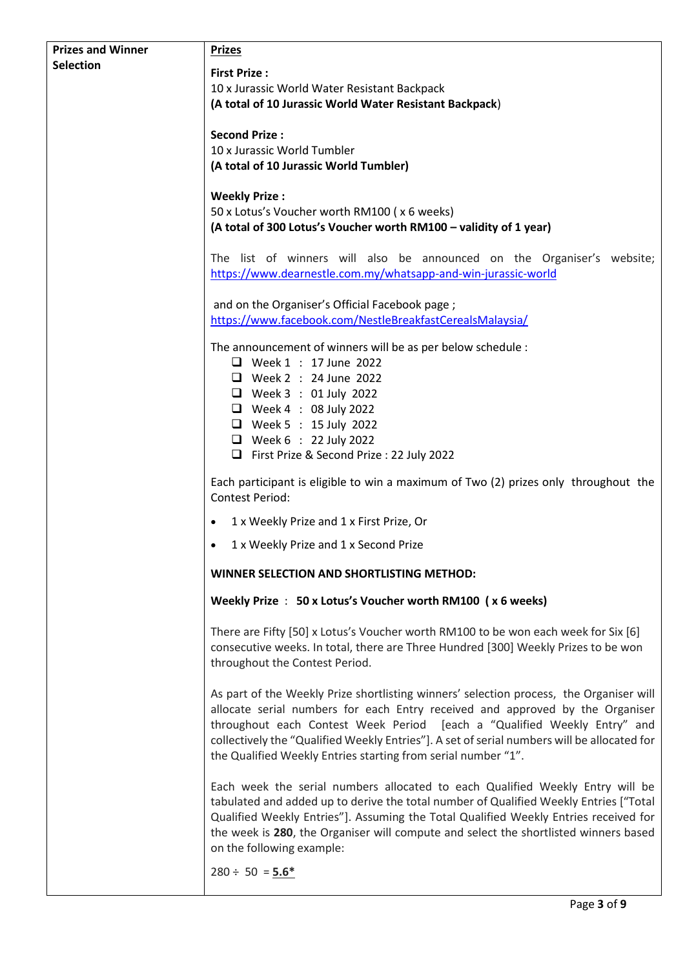| <b>Prizes and Winner</b> | <b>Prizes</b>                                                                                                                                                                                                                                                                                                                                                                                                        |
|--------------------------|----------------------------------------------------------------------------------------------------------------------------------------------------------------------------------------------------------------------------------------------------------------------------------------------------------------------------------------------------------------------------------------------------------------------|
| <b>Selection</b>         | <b>First Prize:</b>                                                                                                                                                                                                                                                                                                                                                                                                  |
|                          | 10 x Jurassic World Water Resistant Backpack                                                                                                                                                                                                                                                                                                                                                                         |
|                          | (A total of 10 Jurassic World Water Resistant Backpack)                                                                                                                                                                                                                                                                                                                                                              |
|                          | <b>Second Prize:</b>                                                                                                                                                                                                                                                                                                                                                                                                 |
|                          | 10 x Jurassic World Tumbler                                                                                                                                                                                                                                                                                                                                                                                          |
|                          | (A total of 10 Jurassic World Tumbler)                                                                                                                                                                                                                                                                                                                                                                               |
|                          | <b>Weekly Prize:</b>                                                                                                                                                                                                                                                                                                                                                                                                 |
|                          | 50 x Lotus's Voucher worth RM100 (x 6 weeks)<br>(A total of 300 Lotus's Voucher worth RM100 - validity of 1 year)                                                                                                                                                                                                                                                                                                    |
|                          |                                                                                                                                                                                                                                                                                                                                                                                                                      |
|                          | The list of winners will also be announced on the Organiser's website;<br>https://www.dearnestle.com.my/whatsapp-and-win-jurassic-world                                                                                                                                                                                                                                                                              |
|                          | and on the Organiser's Official Facebook page;                                                                                                                                                                                                                                                                                                                                                                       |
|                          | https://www.facebook.com/NestleBreakfastCerealsMalaysia/                                                                                                                                                                                                                                                                                                                                                             |
|                          | The announcement of winners will be as per below schedule :                                                                                                                                                                                                                                                                                                                                                          |
|                          | $\Box$ Week 1 : 17 June 2022<br>$\Box$ Week 2 : 24 June 2022                                                                                                                                                                                                                                                                                                                                                         |
|                          | $\Box$ Week 3 : 01 July 2022                                                                                                                                                                                                                                                                                                                                                                                         |
|                          | $\Box$ Week 4 : 08 July 2022                                                                                                                                                                                                                                                                                                                                                                                         |
|                          | $\Box$ Week 5 : 15 July 2022                                                                                                                                                                                                                                                                                                                                                                                         |
|                          | $\Box$ Week 6 : 22 July 2022<br>First Prize & Second Prize: 22 July 2022                                                                                                                                                                                                                                                                                                                                             |
|                          | Each participant is eligible to win a maximum of Two (2) prizes only throughout the<br><b>Contest Period:</b>                                                                                                                                                                                                                                                                                                        |
|                          | 1 x Weekly Prize and 1 x First Prize, Or                                                                                                                                                                                                                                                                                                                                                                             |
|                          | 1 x Weekly Prize and 1 x Second Prize                                                                                                                                                                                                                                                                                                                                                                                |
|                          | WINNER SELECTION AND SHORTLISTING METHOD:                                                                                                                                                                                                                                                                                                                                                                            |
|                          | Weekly Prize : 50 x Lotus's Voucher worth RM100 (x 6 weeks)                                                                                                                                                                                                                                                                                                                                                          |
|                          | There are Fifty [50] x Lotus's Voucher worth RM100 to be won each week for Six [6]<br>consecutive weeks. In total, there are Three Hundred [300] Weekly Prizes to be won<br>throughout the Contest Period.                                                                                                                                                                                                           |
|                          | As part of the Weekly Prize shortlisting winners' selection process, the Organiser will<br>allocate serial numbers for each Entry received and approved by the Organiser<br>throughout each Contest Week Period [each a "Qualified Weekly Entry" and<br>collectively the "Qualified Weekly Entries"]. A set of serial numbers will be allocated for<br>the Qualified Weekly Entries starting from serial number "1". |
|                          | Each week the serial numbers allocated to each Qualified Weekly Entry will be<br>tabulated and added up to derive the total number of Qualified Weekly Entries ["Total<br>Qualified Weekly Entries"]. Assuming the Total Qualified Weekly Entries received for<br>the week is 280, the Organiser will compute and select the shortlisted winners based<br>on the following example:                                  |
|                          | $280 \div 50 = 5.6*$                                                                                                                                                                                                                                                                                                                                                                                                 |
|                          | Page 3 of 9                                                                                                                                                                                                                                                                                                                                                                                                          |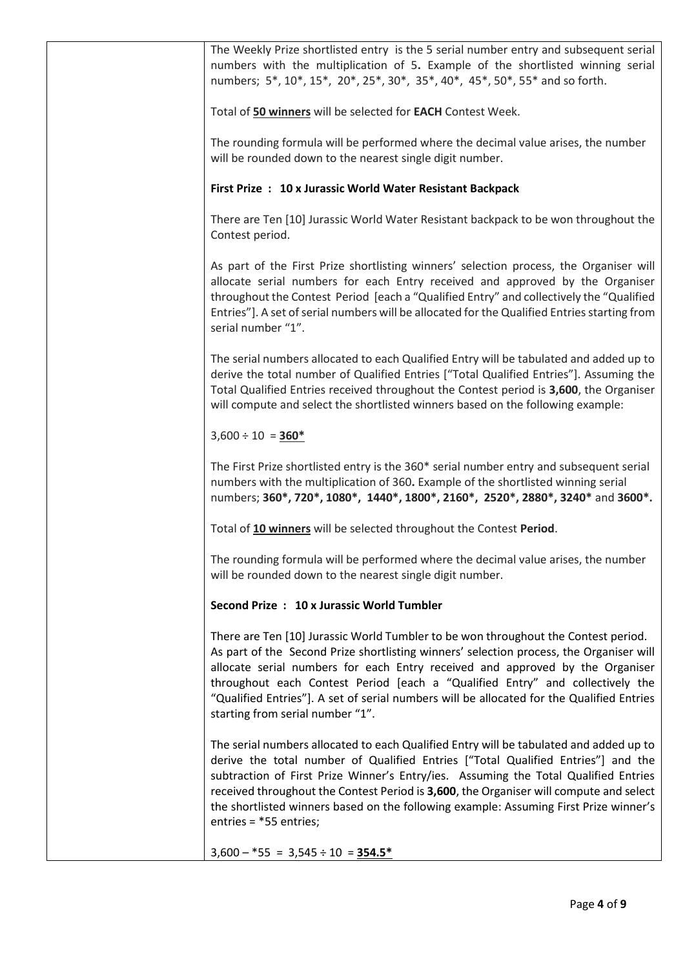| The Weekly Prize shortlisted entry is the 5 serial number entry and subsequent serial<br>numbers with the multiplication of 5. Example of the shortlisted winning serial<br>numbers; 5*, 10*, 15*, 20*, 25*, 30*, 35*, 40*, 45*, 50*, 55* and so forth.                                                                                                                                                                                                                          |
|----------------------------------------------------------------------------------------------------------------------------------------------------------------------------------------------------------------------------------------------------------------------------------------------------------------------------------------------------------------------------------------------------------------------------------------------------------------------------------|
| Total of 50 winners will be selected for EACH Contest Week.                                                                                                                                                                                                                                                                                                                                                                                                                      |
| The rounding formula will be performed where the decimal value arises, the number<br>will be rounded down to the nearest single digit number.                                                                                                                                                                                                                                                                                                                                    |
| First Prize : 10 x Jurassic World Water Resistant Backpack                                                                                                                                                                                                                                                                                                                                                                                                                       |
| There are Ten [10] Jurassic World Water Resistant backpack to be won throughout the<br>Contest period.                                                                                                                                                                                                                                                                                                                                                                           |
| As part of the First Prize shortlisting winners' selection process, the Organiser will<br>allocate serial numbers for each Entry received and approved by the Organiser<br>throughout the Contest Period [each a "Qualified Entry" and collectively the "Qualified<br>Entries"]. A set of serial numbers will be allocated for the Qualified Entries starting from<br>serial number "1".                                                                                         |
| The serial numbers allocated to each Qualified Entry will be tabulated and added up to<br>derive the total number of Qualified Entries ["Total Qualified Entries"]. Assuming the<br>Total Qualified Entries received throughout the Contest period is 3,600, the Organiser<br>will compute and select the shortlisted winners based on the following example:                                                                                                                    |
| $3,600 \div 10 = 360$ *                                                                                                                                                                                                                                                                                                                                                                                                                                                          |
| The First Prize shortlisted entry is the 360* serial number entry and subsequent serial<br>numbers with the multiplication of 360. Example of the shortlisted winning serial<br>numbers; 360*, 720*, 1080*, 1440*, 1800*, 2160*, 2520*, 2880*, 3240* and 3600*.                                                                                                                                                                                                                  |
| Total of 10 winners will be selected throughout the Contest Period.                                                                                                                                                                                                                                                                                                                                                                                                              |
| The rounding formula will be performed where the decimal value arises, the number<br>will be rounded down to the nearest single digit number.                                                                                                                                                                                                                                                                                                                                    |
| Second Prize: 10 x Jurassic World Tumbler                                                                                                                                                                                                                                                                                                                                                                                                                                        |
| There are Ten [10] Jurassic World Tumbler to be won throughout the Contest period.<br>As part of the Second Prize shortlisting winners' selection process, the Organiser will<br>allocate serial numbers for each Entry received and approved by the Organiser<br>throughout each Contest Period [each a "Qualified Entry" and collectively the<br>"Qualified Entries"]. A set of serial numbers will be allocated for the Qualified Entries<br>starting from serial number "1". |
| The serial numbers allocated to each Qualified Entry will be tabulated and added up to<br>derive the total number of Qualified Entries ["Total Qualified Entries"] and the<br>subtraction of First Prize Winner's Entry/ies. Assuming the Total Qualified Entries<br>received throughout the Contest Period is 3,600, the Organiser will compute and select<br>the shortlisted winners based on the following example: Assuming First Prize winner's<br>entries = *55 entries;   |
| $3,600 - *55 = 3,545 \div 10 = 354.5*$                                                                                                                                                                                                                                                                                                                                                                                                                                           |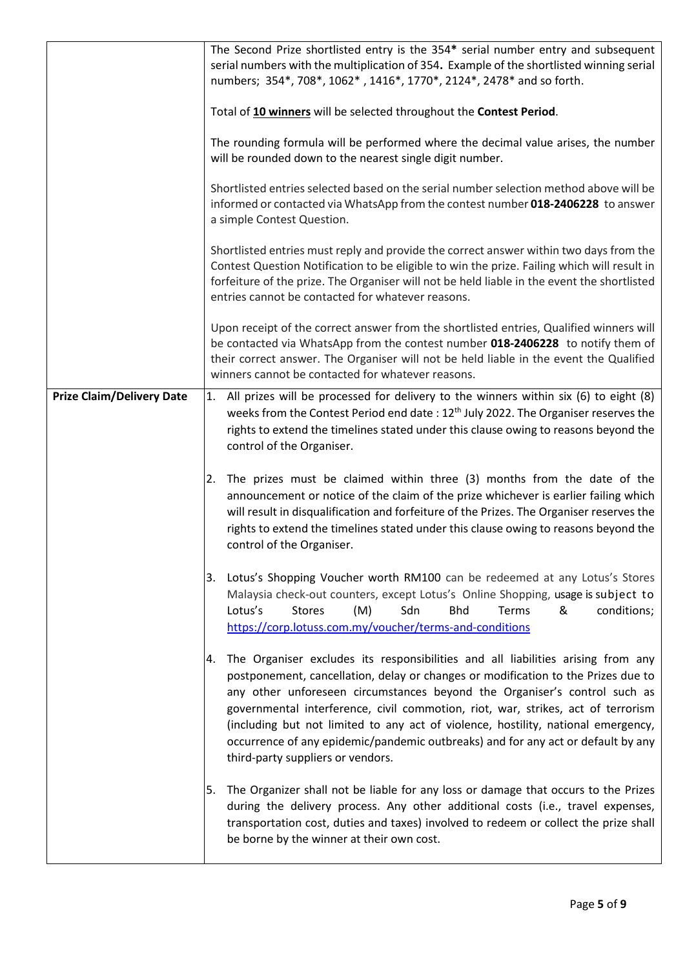|                                  | The Second Prize shortlisted entry is the 354* serial number entry and subsequent<br>serial numbers with the multiplication of 354. Example of the shortlisted winning serial<br>numbers; 354*, 708*, 1062*, 1416*, 1770*, 2124*, 2478* and so forth.                                                                                                                                                                                                                                                                                                       |
|----------------------------------|-------------------------------------------------------------------------------------------------------------------------------------------------------------------------------------------------------------------------------------------------------------------------------------------------------------------------------------------------------------------------------------------------------------------------------------------------------------------------------------------------------------------------------------------------------------|
|                                  | Total of 10 winners will be selected throughout the Contest Period.                                                                                                                                                                                                                                                                                                                                                                                                                                                                                         |
|                                  | The rounding formula will be performed where the decimal value arises, the number<br>will be rounded down to the nearest single digit number.                                                                                                                                                                                                                                                                                                                                                                                                               |
|                                  | Shortlisted entries selected based on the serial number selection method above will be<br>informed or contacted via WhatsApp from the contest number 018-2406228 to answer<br>a simple Contest Question.                                                                                                                                                                                                                                                                                                                                                    |
|                                  | Shortlisted entries must reply and provide the correct answer within two days from the<br>Contest Question Notification to be eligible to win the prize. Failing which will result in<br>forfeiture of the prize. The Organiser will not be held liable in the event the shortlisted<br>entries cannot be contacted for whatever reasons.                                                                                                                                                                                                                   |
|                                  | Upon receipt of the correct answer from the shortlisted entries, Qualified winners will<br>be contacted via WhatsApp from the contest number 018-2406228 to notify them of<br>their correct answer. The Organiser will not be held liable in the event the Qualified<br>winners cannot be contacted for whatever reasons.                                                                                                                                                                                                                                   |
| <b>Prize Claim/Delivery Date</b> | 1. All prizes will be processed for delivery to the winners within six (6) to eight (8)<br>weeks from the Contest Period end date: 12 <sup>th</sup> July 2022. The Organiser reserves the<br>rights to extend the timelines stated under this clause owing to reasons beyond the<br>control of the Organiser.                                                                                                                                                                                                                                               |
|                                  | The prizes must be claimed within three (3) months from the date of the<br>2.<br>announcement or notice of the claim of the prize whichever is earlier failing which<br>will result in disqualification and forfeiture of the Prizes. The Organiser reserves the<br>rights to extend the timelines stated under this clause owing to reasons beyond the<br>control of the Organiser.                                                                                                                                                                        |
|                                  | 3. Lotus's Shopping Voucher worth RM100 can be redeemed at any Lotus's Stores<br>Malaysia check-out counters, except Lotus's Online Shopping, usage is subject to<br>(M)<br>Sdn<br><b>Bhd</b><br>Terms<br>&<br>Lotus's<br><b>Stores</b><br>conditions;<br>https://corp.lotuss.com.my/voucher/terms-and-conditions                                                                                                                                                                                                                                           |
|                                  | The Organiser excludes its responsibilities and all liabilities arising from any<br>Ι4.<br>postponement, cancellation, delay or changes or modification to the Prizes due to<br>any other unforeseen circumstances beyond the Organiser's control such as<br>governmental interference, civil commotion, riot, war, strikes, act of terrorism<br>(including but not limited to any act of violence, hostility, national emergency,<br>occurrence of any epidemic/pandemic outbreaks) and for any act or default by any<br>third-party suppliers or vendors. |
|                                  | The Organizer shall not be liable for any loss or damage that occurs to the Prizes<br>5.<br>during the delivery process. Any other additional costs (i.e., travel expenses,<br>transportation cost, duties and taxes) involved to redeem or collect the prize shall<br>be borne by the winner at their own cost.                                                                                                                                                                                                                                            |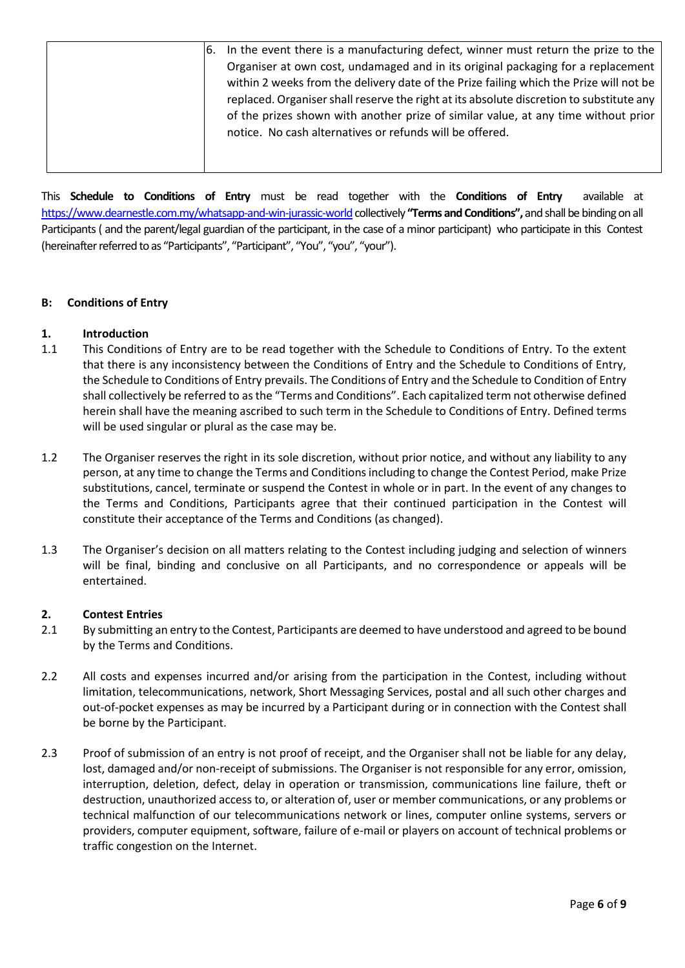| 16. | In the event there is a manufacturing defect, winner must return the prize to the        |
|-----|------------------------------------------------------------------------------------------|
|     | Organiser at own cost, undamaged and in its original packaging for a replacement         |
|     | within 2 weeks from the delivery date of the Prize failing which the Prize will not be   |
|     | replaced. Organiser shall reserve the right at its absolute discretion to substitute any |
|     | of the prizes shown with another prize of similar value, at any time without prior       |
|     | notice. No cash alternatives or refunds will be offered.                                 |
|     |                                                                                          |
|     |                                                                                          |

This **Schedule to Conditions of Entry** must be read together with the **Conditions of Entry** available at <https://www.dearnestle.com.my/whatsapp-and-win-jurassic-world> collectively "Terms and Conditions", and shall be binding on all Participants ( and the parent/legal guardian of the participant, in the case of a minor participant) who participate in this Contest (hereinafter referred to as "Participants", "Participant", "You", "you", "your").

## **B: Conditions of Entry**

## **1. Introduction**

- 1.1 This Conditions of Entry are to be read together with the Schedule to Conditions of Entry. To the extent that there is any inconsistency between the Conditions of Entry and the Schedule to Conditions of Entry, the Schedule to Conditions of Entry prevails. The Conditions of Entry and the Schedule to Condition of Entry shall collectively be referred to as the "Terms and Conditions". Each capitalized term not otherwise defined herein shall have the meaning ascribed to such term in the Schedule to Conditions of Entry. Defined terms will be used singular or plural as the case may be.
- 1.2 The Organiser reserves the right in its sole discretion, without prior notice, and without any liability to any person, at any time to change the Terms and Conditionsincluding to change the Contest Period, make Prize substitutions, cancel, terminate or suspend the Contest in whole or in part. In the event of any changes to the Terms and Conditions, Participants agree that their continued participation in the Contest will constitute their acceptance of the Terms and Conditions (as changed).
- 1.3 The Organiser's decision on all matters relating to the Contest including judging and selection of winners will be final, binding and conclusive on all Participants, and no correspondence or appeals will be entertained.

### **2. Contest Entries**

- 2.1 By submitting an entry to the Contest, Participants are deemed to have understood and agreed to be bound by the Terms and Conditions.
- 2.2 All costs and expenses incurred and/or arising from the participation in the Contest, including without limitation, telecommunications, network, Short Messaging Services, postal and all such other charges and out-of-pocket expenses as may be incurred by a Participant during or in connection with the Contest shall be borne by the Participant.
- 2.3 Proof of submission of an entry is not proof of receipt, and the Organiser shall not be liable for any delay, lost, damaged and/or non-receipt of submissions. The Organiser is not responsible for any error, omission, interruption, deletion, defect, delay in operation or transmission, communications line failure, theft or destruction, unauthorized access to, or alteration of, user or member communications, or any problems or technical malfunction of our telecommunications network or lines, computer online systems, servers or providers, computer equipment, software, failure of e-mail or players on account of technical problems or traffic congestion on the Internet.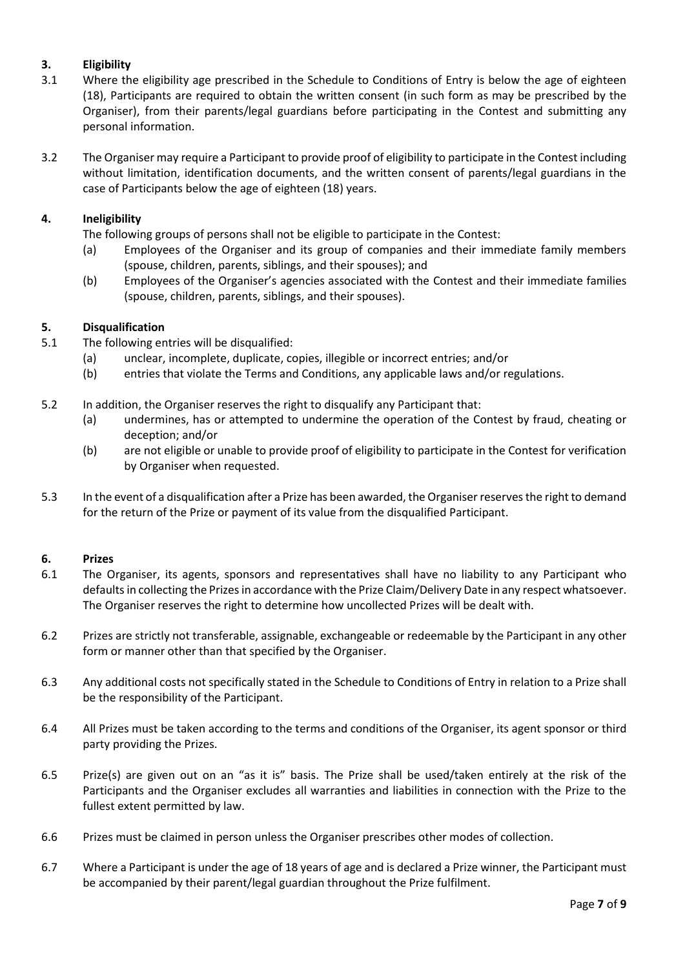# **3. Eligibility**

- 3.1 Where the eligibility age prescribed in the Schedule to Conditions of Entry is below the age of eighteen (18), Participants are required to obtain the written consent (in such form as may be prescribed by the Organiser), from their parents/legal guardians before participating in the Contest and submitting any personal information.
- 3.2 The Organiser may require a Participant to provide proof of eligibility to participate in the Contest including without limitation, identification documents, and the written consent of parents/legal guardians in the case of Participants below the age of eighteen (18) years.

# **4. Ineligibility**

The following groups of persons shall not be eligible to participate in the Contest:

- (a) Employees of the Organiser and its group of companies and their immediate family members (spouse, children, parents, siblings, and their spouses); and
- (b) Employees of the Organiser's agencies associated with the Contest and their immediate families (spouse, children, parents, siblings, and their spouses).

## **5. Disqualification**

- 5.1 The following entries will be disqualified:
	- (a) unclear, incomplete, duplicate, copies, illegible or incorrect entries; and/or
	- (b) entries that violate the Terms and Conditions, any applicable laws and/or regulations.
- 5.2 In addition, the Organiser reserves the right to disqualify any Participant that:
	- (a) undermines, has or attempted to undermine the operation of the Contest by fraud, cheating or deception; and/or
	- (b) are not eligible or unable to provide proof of eligibility to participate in the Contest for verification by Organiser when requested.
- 5.3 In the event of a disqualification after a Prize has been awarded, the Organiser reserves the right to demand for the return of the Prize or payment of its value from the disqualified Participant.

### **6. Prizes**

- 6.1 The Organiser, its agents, sponsors and representatives shall have no liability to any Participant who defaults in collecting the Prizes in accordance with the Prize Claim/Delivery Date in any respect whatsoever. The Organiser reserves the right to determine how uncollected Prizes will be dealt with.
- 6.2 Prizes are strictly not transferable, assignable, exchangeable or redeemable by the Participant in any other form or manner other than that specified by the Organiser.
- 6.3 Any additional costs not specifically stated in the Schedule to Conditions of Entry in relation to a Prize shall be the responsibility of the Participant.
- 6.4 All Prizes must be taken according to the terms and conditions of the Organiser, its agent sponsor or third party providing the Prizes.
- 6.5 Prize(s) are given out on an "as it is" basis. The Prize shall be used/taken entirely at the risk of the Participants and the Organiser excludes all warranties and liabilities in connection with the Prize to the fullest extent permitted by law.
- 6.6 Prizes must be claimed in person unless the Organiser prescribes other modes of collection.
- 6.7 Where a Participant is under the age of 18 years of age and is declared a Prize winner, the Participant must be accompanied by their parent/legal guardian throughout the Prize fulfilment.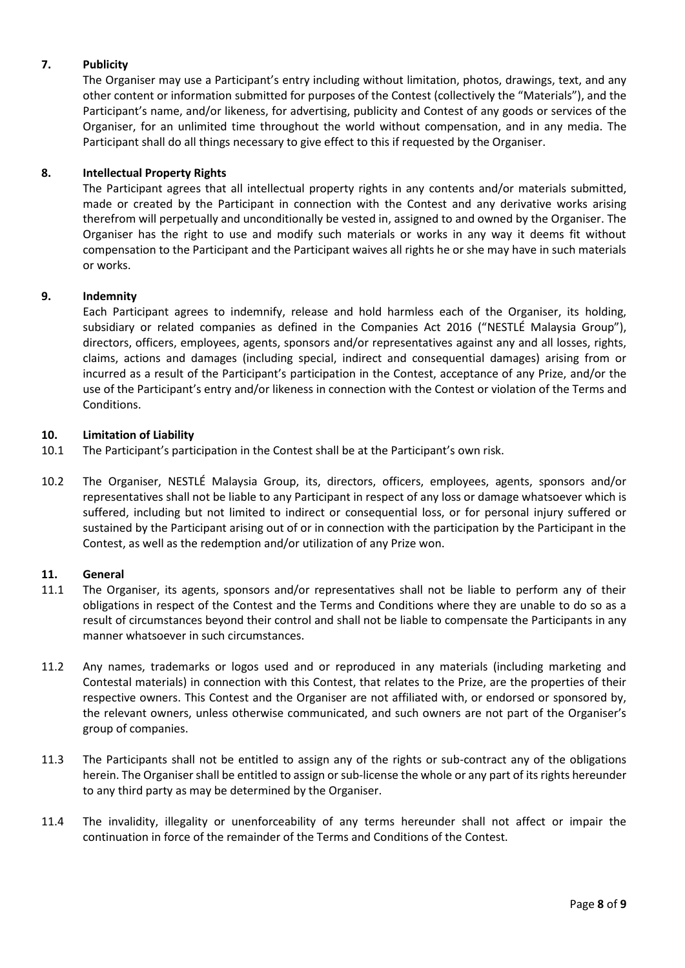# **7. Publicity**

The Organiser may use a Participant's entry including without limitation, photos, drawings, text, and any other content or information submitted for purposes of the Contest (collectively the "Materials"), and the Participant's name, and/or likeness, for advertising, publicity and Contest of any goods or services of the Organiser, for an unlimited time throughout the world without compensation, and in any media. The Participant shall do all things necessary to give effect to this if requested by the Organiser.

## **8. Intellectual Property Rights**

The Participant agrees that all intellectual property rights in any contents and/or materials submitted, made or created by the Participant in connection with the Contest and any derivative works arising therefrom will perpetually and unconditionally be vested in, assigned to and owned by the Organiser. The Organiser has the right to use and modify such materials or works in any way it deems fit without compensation to the Participant and the Participant waives all rights he or she may have in such materials or works.

### **9. Indemnity**

Each Participant agrees to indemnify, release and hold harmless each of the Organiser, its holding, subsidiary or related companies as defined in the Companies Act 2016 ("NESTLÉ Malaysia Group"), directors, officers, employees, agents, sponsors and/or representatives against any and all losses, rights, claims, actions and damages (including special, indirect and consequential damages) arising from or incurred as a result of the Participant's participation in the Contest, acceptance of any Prize, and/or the use of the Participant's entry and/or likeness in connection with the Contest or violation of the Terms and Conditions.

### **10. Limitation of Liability**

- 10.1 The Participant's participation in the Contest shall be at the Participant's own risk.
- 10.2 The Organiser, NESTLÉ Malaysia Group, its, directors, officers, employees, agents, sponsors and/or representatives shall not be liable to any Participant in respect of any loss or damage whatsoever which is suffered, including but not limited to indirect or consequential loss, or for personal injury suffered or sustained by the Participant arising out of or in connection with the participation by the Participant in the Contest, as well as the redemption and/or utilization of any Prize won.

### **11. General**

- 11.1 The Organiser, its agents, sponsors and/or representatives shall not be liable to perform any of their obligations in respect of the Contest and the Terms and Conditions where they are unable to do so as a result of circumstances beyond their control and shall not be liable to compensate the Participants in any manner whatsoever in such circumstances.
- 11.2 Any names, trademarks or logos used and or reproduced in any materials (including marketing and Contestal materials) in connection with this Contest, that relates to the Prize, are the properties of their respective owners. This Contest and the Organiser are not affiliated with, or endorsed or sponsored by, the relevant owners, unless otherwise communicated, and such owners are not part of the Organiser's group of companies.
- 11.3 The Participants shall not be entitled to assign any of the rights or sub-contract any of the obligations herein. The Organiser shall be entitled to assign or sub-license the whole or any part of its rights hereunder to any third party as may be determined by the Organiser.
- 11.4 The invalidity, illegality or unenforceability of any terms hereunder shall not affect or impair the continuation in force of the remainder of the Terms and Conditions of the Contest.